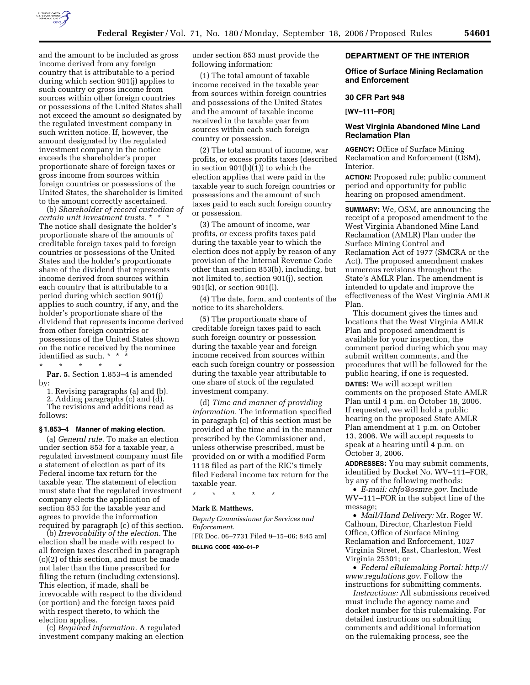

and the amount to be included as gross income derived from any foreign country that is attributable to a period during which section 901(j) applies to such country or gross income from sources within other foreign countries or possessions of the United States shall not exceed the amount so designated by the regulated investment company in such written notice. If, however, the amount designated by the regulated investment company in the notice exceeds the shareholder's proper proportionate share of foreign taxes or gross income from sources within foreign countries or possessions of the United States, the shareholder is limited to the amount correctly ascertained.

(b) *Shareholder of record custodian of certain unit investment trusts.* \* \* \* The notice shall designate the holder's proportionate share of the amounts of creditable foreign taxes paid to foreign countries or possessions of the United States and the holder's proportionate share of the dividend that represents income derived from sources within each country that is attributable to a period during which section 901(j) applies to such country, if any, and the holder's proportionate share of the dividend that represents income derived from other foreign countries or possessions of the United States shown on the notice received by the nominee identified as such. \* \* \*

\* \* \* \* \* Par. 5. Section 1.853-4 is amended by:

1. Revising paragraphs (a) and (b).

2. Adding paragraphs (c) and (d).

The revisions and additions read as follows:

# **§ 1.853–4 Manner of making election.**

(a) *General rule.* To make an election under section 853 for a taxable year, a regulated investment company must file a statement of election as part of its Federal income tax return for the taxable year. The statement of election must state that the regulated investment company elects the application of section 853 for the taxable year and agrees to provide the information required by paragraph (c) of this section.

(b) *Irrevocability of the election.* The election shall be made with respect to all foreign taxes described in paragraph (c)(2) of this section, and must be made not later than the time prescribed for filing the return (including extensions). This election, if made, shall be irrevocable with respect to the dividend (or portion) and the foreign taxes paid with respect thereto, to which the election applies.

(c) *Required information.* A regulated investment company making an election under section 853 must provide the following information:

(1) The total amount of taxable income received in the taxable year from sources within foreign countries and possessions of the United States and the amount of taxable income received in the taxable year from sources within each such foreign country or possession.

(2) The total amount of income, war profits, or excess profits taxes (described in section 901(b)(1)) to which the election applies that were paid in the taxable year to such foreign countries or possessions and the amount of such taxes paid to each such foreign country or possession.

(3) The amount of income, war profits, or excess profits taxes paid during the taxable year to which the election does not apply by reason of any provision of the Internal Revenue Code other than section 853(b), including, but not limited to, section 901(j), section 901(k), or section 901(l).

(4) The date, form, and contents of the notice to its shareholders.

(5) The proportionate share of creditable foreign taxes paid to each such foreign country or possession during the taxable year and foreign income received from sources within each such foreign country or possession during the taxable year attributable to one share of stock of the regulated investment company.

(d) *Time and manner of providing information.* The information specified in paragraph (c) of this section must be provided at the time and in the manner prescribed by the Commissioner and, unless otherwise prescribed, must be provided on or with a modified Form 1118 filed as part of the RIC's timely filed Federal income tax return for the taxable year.

\* \* \* \* \*

# **Mark E. Matthews,**

*Deputy Commissioner for Services and Enforcement.*  [FR Doc. 06–7731 Filed 9–15–06; 8:45 am] **BILLING CODE 4830–01–P** 

## **DEPARTMENT OF THE INTERIOR**

## **Office of Surface Mining Reclamation and Enforcement**

#### **30 CFR Part 948**

**[WV–111–FOR]** 

## **West Virginia Abandoned Mine Land Reclamation Plan**

**AGENCY:** Office of Surface Mining Reclamation and Enforcement (OSM), Interior.

**ACTION:** Proposed rule; public comment period and opportunity for public hearing on proposed amendment.

**SUMMARY:** We, OSM, are announcing the receipt of a proposed amendment to the West Virginia Abandoned Mine Land Reclamation (AMLR) Plan under the Surface Mining Control and Reclamation Act of 1977 (SMCRA or the Act). The proposed amendment makes numerous revisions throughout the State's AMLR Plan. The amendment is intended to update and improve the effectiveness of the West Virginia AMLR Plan.

This document gives the times and locations that the West Virginia AMLR Plan and proposed amendment is available for your inspection, the comment period during which you may submit written comments, and the procedures that will be followed for the public hearing, if one is requested. **DATES:** We will accept written comments on the proposed State AMLR Plan until 4 p.m. on October 18, 2006. If requested, we will hold a public hearing on the proposed State AMLR Plan amendment at 1 p.m. on October 13, 2006. We will accept requests to speak at a hearing until 4 p.m. on October 3, 2006.

**ADDRESSES:** You may submit comments, identified by Docket No. WV–111–FOR, by any of the following methods:

• *E-mail: chfo@osmre.gov*. Include WV–111–FOR in the subject line of the message;

• *Mail/Hand Delivery:* Mr. Roger W. Calhoun, Director, Charleston Field Office, Office of Surface Mining Reclamation and Enforcement, 1027 Virginia Street, East, Charleston, West Virginia 25301; or

• *Federal eRulemaking Portal: http:// www.regulations.gov*. Follow the instructions for submitting comments.

*Instructions:* All submissions received must include the agency name and docket number for this rulemaking. For detailed instructions on submitting comments and additional information on the rulemaking process, see the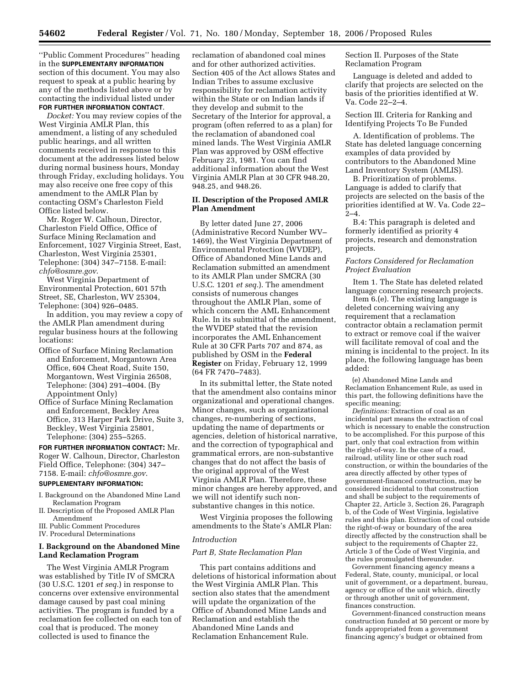''Public Comment Procedures'' heading in the **SUPPLEMENTARY INFORMATION** section of this document. You may also request to speak at a public hearing by any of the methods listed above or by contacting the individual listed under **FOR FURTHER INFORMATION CONTACT**.

*Docket:* You may review copies of the West Virginia AMLR Plan, this amendment, a listing of any scheduled public hearings, and all written comments received in response to this document at the addresses listed below during normal business hours, Monday through Friday, excluding holidays. You may also receive one free copy of this amendment to the AMLR Plan by contacting OSM's Charleston Field Office listed below.

Mr. Roger W. Calhoun, Director, Charleston Field Office, Office of Surface Mining Reclamation and Enforcement, 1027 Virginia Street, East, Charleston, West Virginia 25301, Telephone: (304) 347–7158. E-mail: *chfo@osmre.gov*.

West Virginia Department of Environmental Protection, 601 57th Street, SE, Charleston, WV 25304, Telephone: (304) 926–0485.

In addition, you may review a copy of the AMLR Plan amendment during regular business hours at the following locations:

- Office of Surface Mining Reclamation and Enforcement, Morgantown Area Office, 604 Cheat Road, Suite 150, Morgantown, West Virginia 26508, Telephone: (304) 291–4004. (By Appointment Only)
- Office of Surface Mining Reclamation and Enforcement, Beckley Area Office, 313 Harper Park Drive, Suite 3, Beckley, West Virginia 25801, Telephone: (304) 255–5265.

**FOR FURTHER INFORMATION CONTACT:** Mr. Roger W. Calhoun, Director, Charleston Field Office, Telephone: (304) 347– 7158. E-mail: *chfo@osmre.gov*.

### **SUPPLEMENTARY INFORMATION:**

- I. Background on the Abandoned Mine Land Reclamation Program
- II. Description of the Proposed AMLR Plan Amendment
- III. Public Comment Procedures
- IV. Procedural Determinations

# **I. Background on the Abandoned Mine Land Reclamation Program**

The West Virginia AMLR Program was established by Title IV of SMCRA (30 U.S.C. 1201 *et seq.*) in response to concerns over extensive environmental damage caused by past coal mining activities. The program is funded by a reclamation fee collected on each ton of coal that is produced. The money collected is used to finance the

reclamation of abandoned coal mines and for other authorized activities. Section 405 of the Act allows States and Indian Tribes to assume exclusive responsibility for reclamation activity within the State or on Indian lands if they develop and submit to the Secretary of the Interior for approval, a program (often referred to as a plan) for the reclamation of abandoned coal mined lands. The West Virginia AMLR Plan was approved by OSM effective February 23, 1981. You can find additional information about the West Virginia AMLR Plan at 30 CFR 948.20, 948.25, and 948.26.

# **II. Description of the Proposed AMLR Plan Amendment**

By letter dated June 27, 2006 (Administrative Record Number WV– 1469), the West Virginia Department of Environmental Protection (WVDEP), Office of Abandoned Mine Lands and Reclamation submitted an amendment to its AMLR Plan under SMCRA (30 U.S.C. 1201 *et seq.*). The amendment consists of numerous changes throughout the AMLR Plan, some of which concern the AML Enhancement Rule. In its submittal of the amendment, the WVDEP stated that the revision incorporates the AML Enhancement Rule at 30 CFR Parts 707 and 874, as published by OSM in the **Federal Register** on Friday, February 12, 1999 (64 FR 7470–7483).

In its submittal letter, the State noted that the amendment also contains minor organizational and operational changes. Minor changes, such as organizational changes, re-numbering of sections, updating the name of departments or agencies, deletion of historical narrative, and the correction of typographical and grammatical errors, are non-substantive changes that do not affect the basis of the original approval of the West Virginia AMLR Plan. Therefore, these minor changes are hereby approved, and we will not identify such nonsubstantive changes in this notice.

West Virginia proposes the following amendments to the State's AMLR Plan:

## *Introduction*

# *Part B, State Reclamation Plan*

This part contains additions and deletions of historical information about the West Virginia AMLR Plan. This section also states that the amendment will update the organization of the Office of Abandoned Mine Lands and Reclamation and establish the Abandoned Mine Lands and Reclamation Enhancement Rule.

Section II. Purposes of the State Reclamation Program

Language is deleted and added to clarify that projects are selected on the basis of the priorities identified at W. Va. Code 22–2–4.

Section III. Criteria for Ranking and Identifying Projects To Be Funded

A. Identification of problems. The State has deleted language concerning examples of data provided by contributors to the Abandoned Mine Land Inventory System (AMLIS).

B. Prioritization of problems. Language is added to clarify that projects are selected on the basis of the priorities identified at W. Va. Code 22–  $2 - 4$ .

B.4: This paragraph is deleted and formerly identified as priority 4 projects, research and demonstration projects.

# *Factors Considered for Reclamation Project Evaluation*

Item 1. The State has deleted related language concerning research projects.

Item 6.(e). The existing language is deleted concerning waiving any requirement that a reclamation contractor obtain a reclamation permit to extract or remove coal if the waiver will facilitate removal of coal and the mining is incidental to the project. In its place, the following language has been added:

(e) Abandoned Mine Lands and Reclamation Enhancement Rule, as used in this part, the following definitions have the specific meaning;

*Definitions:* Extraction of coal as an incidental part means the extraction of coal which is necessary to enable the construction to be accomplished. For this purpose of this part, only that coal extraction from within the right-of-way. In the case of a road, railroad, utility line or other such road construction, or within the boundaries of the area directly affected by other types of government-financed construction, may be considered incidental to that construction and shall be subject to the requirements of Chapter 22, Article 3, Section 26, Paragraph b, of the Code of West Virginia, legislative rules and this plan. Extraction of coal outside the right-of-way or boundary of the area directly affected by the construction shall be subject to the requirements of Chapter 22, Article 3 of the Code of West Virginia, and the rules promulgated thereunder.

Government financing agency means a Federal, State, county, municipal, or local unit of government, or a department, bureau, agency or office of the unit which, directly or through another unit of government, finances construction.

Government-financed construction means construction funded at 50 percent or more by funds appropriated from a government financing agency's budget or obtained from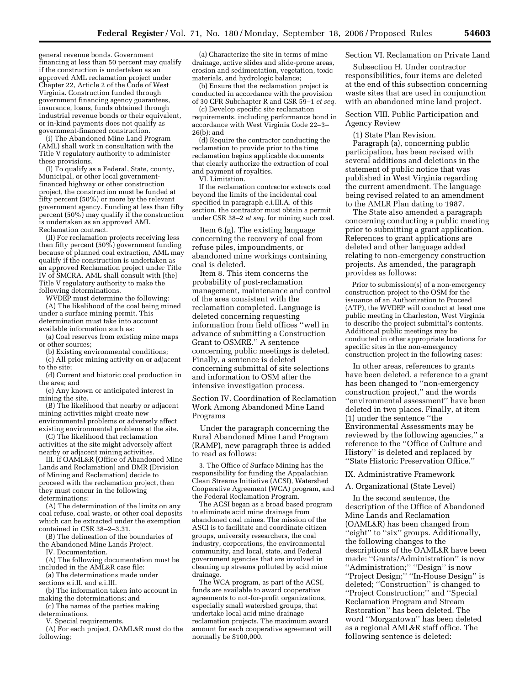general revenue bonds. Government financing at less than 50 percent may qualify if the construction is undertaken as an approved AML reclamation project under Chapter 22, Article 2 of the Code of West Virginia. Construction funded through government financing agency guarantees, insurance, loans, funds obtained through industrial revenue bonds or their equivalent, or in-kind payments does not qualify as government-financed construction.

(i) The Abandoned Mine Land Program (AML) shall work in consultation with the Title V regulatory authority to administer these provisions.

(I) To qualify as a Federal, State, county, Municipal, or other local governmentfinanced highway or other construction project, the construction must be funded at fifty percent (50%) or more by the relevant government agency. Funding at less than fifty percent (50%) may qualify if the construction is undertaken as an approved AML Reclamation contract.

(II) For reclamation projects receiving less than fifty percent (50%) government funding because of planned coal extraction, AML may qualify if the construction is undertaken as an approved Reclamation project under Title IV of SMCRA. AML shall consult with [the] Title V regulatory authority to make the following determinations.

WVDEP must determine the following: (A) The likelihood of the coal being mined under a surface mining permit. This determination must take into account available information such as:

(a) Coal reserves from existing mine maps or other sources;

(b) Existing environmental conditions;

(c) All prior mining activity on or adjacent to the site;

(d) Current and historic coal production in the area; and

(e) Any known or anticipated interest in mining the site.

(B) The likelihood that nearby or adjacent mining activities might create new environmental problems or adversely affect existing environmental problems at the site.

(C) The likelihood that reclamation activities at the site might adversely affect nearby or adjacent mining activities.

III. If OAML&R [Office of Abandoned Mine Lands and Reclamation] and DMR (Division of Mining and Reclamation) decide to proceed with the reclamation project, then they must concur in the following determinations:

(A) The determination of the limits on any coal refuse, coal waste, or other coal deposits which can be extracted under the exemption contained in CSR 38–2–3.31.

(B) The delineation of the boundaries of the Abandoned Mine Lands Project.

IV. Documentation.

(A) The following documentation must be included in the AML&R case file:

(a) The determinations made under sections e.i.II. and e.i.III.

(b) The information taken into account in making the determinations; and

(c) The names of the parties making determinations.

V. Special requirements.

(A) For each project, OAML&R must do the following;

(a) Characterize the site in terms of mine drainage, active slides and slide-prone areas, erosion and sedimentation, vegetation, toxic materials, and hydrologic balance;

(b) Ensure that the reclamation project is conducted in accordance with the provision of 30 CFR Subchapter R and CSR 59–1 *et seq.* 

(c) Develop specific site reclamation requirements, including performance bond in accordance with West Virginia Code 22–3– 26(b); and

(d) Require the contractor conducting the reclamation to provide prior to the time reclamation begins applicable documents that clearly authorize the extraction of coal and payment of royalties.

VI. Limitation.

If the reclamation contractor extracts coal beyond the limits of the incidental coal specified in paragraph e.i.III.A. of this section, the contractor must obtain a permit under CSR 38–2 *et seq.* for mining such coal.

Item 6.(g). The existing language concerning the recovery of coal from refuse piles, impoundments, or abandoned mine workings containing coal is deleted.

Item 8. This item concerns the probability of post-reclamation management, maintenance and control of the area consistent with the reclamation completed. Language is deleted concerning requesting information from field offices ''well in advance of submitting a Construction Grant to OSMRE.'' A sentence concerning public meetings is deleted. Finally, a sentence is deleted concerning submittal of site selections and information to OSM after the intensive investigation process.

Section IV. Coordination of Reclamation Work Among Abandoned Mine Land Programs

Under the paragraph concerning the Rural Abandoned Mine Land Program (RAMP), new paragraph three is added to read as follows:

3. The Office of Surface Mining has the responsibility for funding the Appalachian Clean Streams Initiative (ACSI), Watershed Cooperative Agreement (WCA) program, and the Federal Reclamation Program.

The ACSI began as a broad based program to eliminate acid mine drainage from abandoned coal mines. The mission of the ASCI is to facilitate and coordinate citizen groups, university researchers, the coal industry, corporations, the environmental community, and local, state, and Federal government agencies that are involved in cleaning up streams polluted by acid mine drainage.

The WCA program, as part of the ACSI, funds are available to award cooperative agreements to not-for-profit organizations, especially small watershed groups, that undertake local acid mine drainage reclamation projects. The maximum award amount for each cooperative agreement will normally be \$100,000.

# Section VI. Reclamation on Private Land

Subsection H. Under contractor responsibilities, four items are deleted at the end of this subsection concerning waste sites that are used in conjunction with an abandoned mine land project.

Section VIII. Public Participation and Agency Review

(1) State Plan Revision.

Paragraph (a), concerning public participation, has been revised with several additions and deletions in the statement of public notice that was published in West Virginia regarding the current amendment. The language being revised related to an amendment to the AMLR Plan dating to 1987.

The State also amended a paragraph concerning conducting a public meeting prior to submitting a grant application. References to grant applications are deleted and other language added relating to non-emergency construction projects. As amended, the paragraph provides as follows:

Prior to submission(s) of a non-emergency construction project to the OSM for the issuance of an Authorization to Proceed (ATP), the WVDEP will conduct at least one public meeting in Charleston, West Virginia to describe the project submittal's contents. Additional public meetings may be conducted in other appropriate locations for specific sites in the non-emergency construction project in the following cases:

In other areas, references to grants have been deleted, a reference to a grant has been changed to ''non-emergency construction project,'' and the words ''environmental assessment'' have been deleted in two places. Finally, at item (1) under the sentence ''the Environmental Assessments may be reviewed by the following agencies,'' a reference to the ''Office of Culture and History'' is deleted and replaced by ''State Historic Preservation Office.''

## IX. Administrative Framework

## A. Organizational (State Level)

In the second sentence, the description of the Office of Abandoned Mine Lands and Reclamation (OAML&R) has been changed from ''eight'' to ''six'' groups. Additionally, the following changes to the descriptions of the OAML&R have been made: ''Grants/Administration'' is now ''Administration;'' ''Design'' is now ''Project Design;'' ''In-House Design'' is deleted; ''Construction'' is changed to ''Project Construction;'' and ''Special Reclamation Program and Stream Restoration'' has been deleted. The word ''Morgantown'' has been deleted as a regional AML&R staff office. The following sentence is deleted: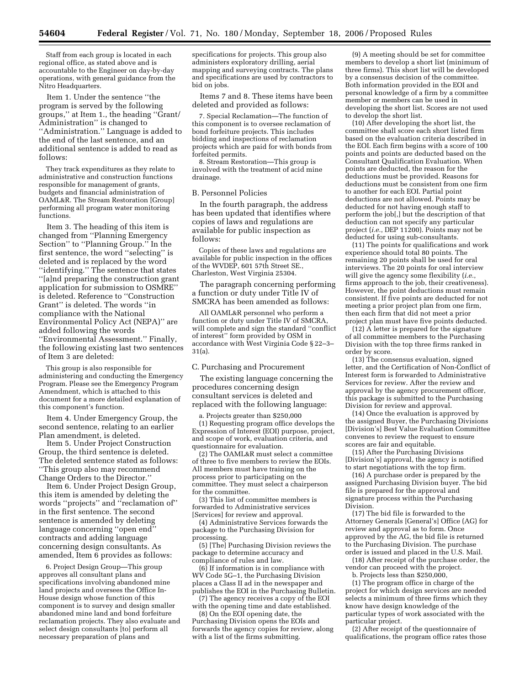Staff from each group is located in each regional office, as stated above and is accountable to the Engineer on day-by-day operations, with general guidance from the Nitro Headquarters.

Item 1. Under the sentence ''the program is served by the following groups,'' at Item 1., the heading ''Grant/ Administration'' is changed to ''Administration.'' Language is added to the end of the last sentence, and an additional sentence is added to read as follows:

They track expenditures as they relate to administrative and construction functions responsible for management of grants, budgets and financial administration of OAML&R. The Stream Restoration [Group] performing all program water monitoring functions.

Item 3. The heading of this item is changed from ''Planning Emergency Section'' to ''Planning Group.'' In the first sentence, the word ''selecting'' is deleted and is replaced by the word ''identifying.'' The sentence that states ''[a]nd preparing the construction grant application for submission to OSMRE'' is deleted. Reference to ''Construction Grant'' is deleted. The words ''in compliance with the National Environmental Policy Act (NEPA)'' are added following the words ''Environmental Assessment.'' Finally, the following existing last two sentences of Item 3 are deleted:

This group is also responsible for administering and conducting the Emergency Program. Please see the Emergency Program Amendment, which is attached to this document for a more detailed explanation of this component's function.

Item 4. Under Emergency Group, the second sentence, relating to an earlier Plan amendment, is deleted.

Item 5. Under Project Construction Group, the third sentence is deleted. The deleted sentence stated as follows: ''This group also may recommend Change Orders to the Director.''

Item 6. Under Project Design Group, this item is amended by deleting the words ''projects'' and ''reclamation of'' in the first sentence. The second sentence is amended by deleting language concerning ''open end'' contracts and adding language concerning design consultants. As amended, Item 6 provides as follows:

6. Project Design Group—This group approves all consultant plans and specifications involving abandoned mine land projects and oversees the Office In-House design whose function of this component is to survey and design smaller abandoned mine land and bond forfeiture reclamation projects. They also evaluate and select design consultants [to] perform all necessary preparation of plans and

specifications for projects. This group also administers exploratory drilling, aerial mapping and surveying contracts. The plans and specifications are used by contractors to bid on jobs.

Items 7 and 8. These items have been deleted and provided as follows:

7. Special Reclamation—The function of this component is to oversee reclamation of bond forfeiture projects. This includes bidding and inspections of reclamation projects which are paid for with bonds from forfeited permits.

8. Stream Restoration—This group is involved with the treatment of acid mine drainage.

### B. Personnel Policies

In the fourth paragraph, the address has been updated that identifies where copies of laws and regulations are available for public inspection as follows:

Copies of these laws and regulations are available for public inspection in the offices of the WVDEP, 601 57th Street SE., Charleston, West Virginia 25304.

The paragraph concerning performing a function or duty under Title IV of SMCRA has been amended as follows:

All OAML&R personnel who perform a function or duty under Title IV of SMCRA, will complete and sign the standard ''conflict of interest'' form provided by OSM in accordance with West Virginia Code § 22–3– 31(a).

## C. Purchasing and Procurement

The existing language concerning the procedures concerning design consultant services is deleted and replaced with the following language:

a. Projects greater than \$250,000 (1) Requesting program office develops the Expression of Interest (EOI) purpose, project, and scope of work, evaluation criteria, and questionnaire for evaluation.

(2) The OAML&R must select a committee of three to five members to review the EOIs. All members must have training on the process prior to participating on the committee. They must select a chairperson for the committee.

(3) This list of committee members is forwarded to Administrative services [Services] for review and approval.

(4) Administrative Services forwards the package to the Purchasing Division for processing.

(5) [The] Purchasing Division reviews the package to determine accuracy and compliance of rules and law.

(6) If information is in compliance with WV Code 5G–1, the Purchasing Division places a Class II ad in the newspaper and publishes the EOI in the Purchasing Bulletin.

(7) The agency receives a copy of the EOI with the opening time and date established.

(8) On the EOI opening date, the Purchasing Division opens the EOIs and forwards the agency copies for review, along with a list of the firms submitting.

(9) A meeting should be set for committee members to develop a short list (minimum of three firms). This short list will be developed by a consensus decision of the committee. Both information provided in the EOI and personal knowledge of a firm by a committee member or members can be used in developing the short list. Scores are not used to develop the short list.

(10) After developing the short list, the committee shall score each short listed firm based on the evaluation criteria described in the EOI. Each firm begins with a score of 100 points and points are deducted based on the Consultant Qualification Evaluation. When points are deducted, the reason for the deductions must be provided. Reasons for deductions must be consistent from one firm to another for each EOI. Partial point deductions are not allowed. Points may be deducted for not having enough staff to perform the job[,] but the description of that deduction can not specify any particular project (*i.e.*, DEP 11200). Points may not be deducted for using sub-consultants.

(11) The points for qualifications and work experience should total 80 points. The remaining 20 points shall be used for oral interviews. The 20 points for oral interview will give the agency some flexibility (*i.e.*, firms approach to the job, their creativeness). However, the point deductions must remain consistent. If five points are deducted for not meeting a prior project plan from one firm, then each firm that did not meet a prior project plan must have five points deducted.

 $(12)$   $\AA$  letter is prepared for the signature of all committee members to the Purchasing Division with the top three firms ranked in order by score.

(13) The consensus evaluation, signed letter, and the Certification of Non-Conflict of Interest form is forwarded to Administrative Services for review. After the review and approval by the agency procurement officer, this package is submitted to the Purchasing Division for review and approval.

(14) Once the evaluation is approved by the assigned Buyer, the Purchasing Divisions [Division's] Best Value Evaluation Committee convenes to review the request to ensure scores are fair and equitable.

(15) After the Purchasing Divisions [Division's] approval, the agency is notified to start negotiations with the top firm.

(16) A purchase order is prepared by the assigned Purchasing Division buyer. The bid file is prepared for the approval and signature process within the Purchasing Division.

(17) The bid file is forwarded to the Attorney Generals [General's] Office (AG) for review and approval as to form. Once approved by the AG, the bid file is returned to the Purchasing Division. The purchase order is issued and placed in the U.S. Mail.

(18) After receipt of the purchase order, the vendor can proceed with the project.

b. Projects less than \$250,000,

(1) The program office in charge of the project for which design services are needed selects a minimum of three firms which they know have design knowledge of the particular types of work associated with the particular project.

(2) After receipt of the questionnaire of qualifications, the program office rates those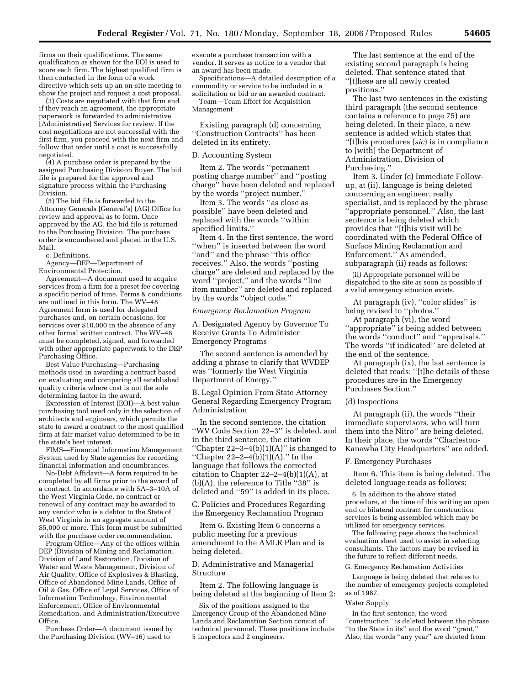firms on their qualifications. The same qualification as shown for the EOI is used to score each firm. The highest qualified firm is then contacted in the form of a work directive which sets up an on-site meeting to show the project and request a cost proposal.

(3) Costs are negotiated with that firm and if they reach an agreement, the appropriate paperwork is forwarded to administrative [Administrative] Services for review. If the cost negotiations are not successful with the first firm, you proceed with the next firm and follow that order until a cost is successfully negotiated.

(4) A purchase order is prepared by the assigned Purchasing Division Buyer. The bid file is prepared for the approval and signature process within the Purchasing Division.

(5) The bid file is forwarded to the Attorney Generals [General's] (AG) Office for review and approval as to form. Once approved by the AG, the bid file is returned to the Purchasing Division. The purchase order is encumbered and placed in the U.S. Mail.

c. Definitions.

Agency—DEP—Department of Environmental Protection.

Agreement—A document used to acquire services from a firm for a preset fee covering a specific period of time. Terms & conditions are outlined in this form. The WV–48 Agreement form is used for delegated purchases and, on certain occasions, for services over \$10,000 in the absence of any other formal written contract. The WV–48 must be completed, signed, and forwarded with other appropriate paperwork to the DEP Purchasing Office.

Best Value Purchasing—Purchasing methods used in awarding a contract based on evaluating and comparing all established quality criteria where cost is not the sole determining factor in the award.

Expression of Interest (EOI)—A best value purchasing tool used only in the selection of architects and engineers, which permits the state to award a contract to the most qualified firm at fair market value determined to be in the state's best interest.

FIMS—Financial Information Management System used by State agencies for recording financial information and encumbrances.

No-Debt Affidavit—A form required to be completed by all firms prior to the award of a contract. In accordance with 5A–3–10A of the West Virginia Code, no contract or renewal of any contract may be awarded to any vendor who is a debtor to the State of West Virginia in an aggregate amount of \$5,000 or more. This form must be submitted with the purchase order recommendation.

Program Office—Any of the offices within DEP (Division of Mining and Reclamation, Division of Land Restoration, Division of Water and Waste Management, Division of Air Quality, Office of Explosives & Blasting, Office of Abandoned Mine Lands, Office of Oil & Gas, Office of Legal Services, Office of Information Technology, Environmental Enforcement, Office of Environmental Remediation, and Administration/Executive Office.

Purchase Order—A document issued by the Purchasing Division (WV–16) used to

execute a purchase transaction with a vendor. It serves as notice to a vendor that an award has been made.

Specifications—A detailed description of a commodity or service to be included in a solicitation or bid or an awarded contract.

Team—Team Effort for Acquisition Management

Existing paragraph (d) concerning ''Construction Contracts'' has been deleted in its entirety.

### D. Accounting System

Item 2. The words ''permanent posting charge number'' and ''posting charge'' have been deleted and replaced by the words ''project number.''

Item 3. The words ''as close as possible'' have been deleted and replaced with the words ''within specified limits.''

Item 4. In the first sentence, the word ''when'' is inserted between the word ''and'' and the phrase ''this office receives.'' Also, the words ''posting charge'' are deleted and replaced by the word ''project,'' and the words ''line item number'' are deleted and replaced by the words ''object code.''

#### *Emergency Reclamation Program*

A. Designated Agency by Governor To Receive Grants To Administer Emergency Programs

The second sentence is amended by adding a phrase to clarify that WVDEP was ''formerly the West Virginia Department of Energy.''

B. Legal Opinion From State Attorney General Regarding Emergency Program Administration

In the second sentence, the citation ''WV Code Section 22–3'' is deleted, and in the third sentence, the citation "Chapter  $22-3-4(b)(1)(A)$ " is changed to ''Chapter 22–2–4(b)(1)(A).'' In the language that follows the corrected citation to Chapter  $22-2-4(b)(1)(A)$ , at (b)(A), the reference to Title ''38'' is deleted and ''59'' is added in its place.

C. Policies and Procedures Regarding the Emergency Reclamation Program

Item 6. Existing Item 6 concerns a public meeting for a previous amendment to the AMLR Plan and is being deleted.

# D. Administrative and Managerial Structure

Item 2. The following language is being deleted at the beginning of Item 2:

Six of the positions assigned to the Emergency Group of the Abandoned Mine Lands and Reclamation Section consist of technical personnel. These positions include 5 inspectors and 2 engineers.

The last sentence at the end of the existing second paragraph is being deleted. That sentence stated that ''[t]hese are all newly created positions.''

The last two sentences in the existing third paragraph (the second sentence contains a reference to page 75) are being deleted. In their place, a new sentence is added which states that ''[t]his procedures (*sic*) is in compliance to [with] the Department of Administration, Division of Purchasing.''

Item 3. Under (c) Immediate Followup, at (ii), language is being deleted concerning an engineer, realty specialist, and is replaced by the phrase ''appropriate personnel.'' Also, the last sentence is being deleted which provides that ''[t]his visit will be coordinated with the Federal Office of Surface Mining Reclamation and Enforcement.'' As amended, subparagraph (ii) reads as follows:

(ii) Appropriate personnel will be dispatched to the site as soon as possible if a valid emergency situation exists.

At paragraph (iv), ''color slides'' is being revised to ''photos.''

At paragraph (vi), the word ''appropriate'' is being added between the words ''conduct'' and ''appraisals.'' The words ''if indicated'' are deleted at the end of the sentence.

At paragraph (ix), the last sentence is deleted that reads: ''[t]he details of these procedures are in the Emergency Purchases Section.''

#### (d) Inspections

At paragraph (ii), the words ''their immediate supervisors, who will turn them into the Nitro'' are being deleted. In their place, the words ''Charleston-Kanawha City Headquarters'' are added.

#### F. Emergency Purchases

Item 6. This item is being deleted. The deleted language reads as follows:

6. In addition to the above stated procedure, at the time of this writing an open end or bilateral contract for construction services is being assembled which may be utilized for emergency services.

The following page shows the technical evaluation sheet used to assist in selecting consultants. The factors may be revised in the future to reflect different needs.

## G. Emergency Reclamation Activities

Language is being deleted that relates to the number of emergency projects completed as of 1987.

# Water Supply

In the first sentence, the word ''construction'' is deleted between the phrase ''to the State in its'' and the word ''grant.'' Also, the words ''any year'' are deleted from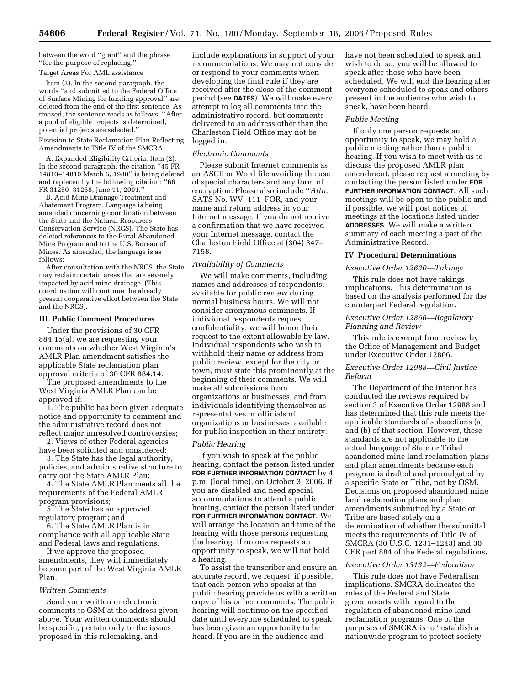between the word ''grant'' and the phrase ''for the purpose of replacing.''

# Target Areas For AML assistance

Item (3). In the second paragraph, the words ''and submitted to the Federal Office of Surface Mining for funding approval'' are deleted from the end of the first sentence. As revised, the sentence reads as follows: ''After a pool of eligible projects is determined, potential projects are selected.''

Revision to State Reclamation Plan Reflecting Amendments to Title IV of the SMCRA

A. Expanded Eligibility Criteria. Item (2). In the second paragraph, the citation ''45 FR 14810–14819 March 6, 1980'' is being deleted and replaced by the following citation: ''66 FR 31250–31258, June 11, 2001.''

B. Acid Mine Drainage Treatment and Abatement Program. Language is being amended concerning coordination between the State and the Natural Resources Conservation Service (NRCS). The State has deleted references to the Rural Abandoned Mine Program and to the U.S. Bureau of Mines. As amended, the language is as follows:

After consultation with the NRCS, the State may reclaim certain areas that are severely impacted by acid mine drainage. (This coordination will continue the already present cooperative effort between the State and the NRCS).

## **III. Public Comment Procedures**

Under the provisions of 30 CFR 884.15(a), we are requesting your comments on whether West Virginia's AMLR Plan amendment satisfies the applicable State reclamation plan approval criteria of 30 CFR 884.14.

The proposed amendments to the West Virginia AMLR Plan can be approved if:

1. The public has been given adequate notice and opportunity to comment and the administrative record does not reflect major unresolved controversies;

2. Views of other Federal agencies have been solicited and considered;

3. The State has the legal authority, policies, and administrative structure to carry out the State AMLR Plan;

4. The State AMLR Plan meets all the requirements of the Federal AMLR program provisions;

5. The State has an approved regulatory program; and

6. The State AMLR Plan is in compliance with all applicable State and Federal laws and regulations.

If we approve the proposed amendments, they will immediately become part of the West Virginia AMLR Plan.

# *Written Comments*

Send your written or electronic comments to OSM at the address given above. Your written comments should be specific, pertain only to the issues proposed in this rulemaking, and

include explanations in support of your recommendations. We may not consider or respond to your comments when developing the final rule if they are received after the close of the comment period (see **DATES**). We will make every attempt to log all comments into the administrative record, but comments delivered to an address other than the Charleston Field Office may not be logged in.

#### *Electronic Comments*

Please submit Internet comments as an ASCII or Word file avoiding the use of special characters and any form of encryption. Please also include ''*Attn*: SATS No. WV–111–FOR, and your name and return address in your Internet message. If you do not receive a confirmation that we have received your Internet message, contact the Charleston Field Office at (304) 347– 7158.

## *Availability of Comments*

We will make comments, including names and addresses of respondents, available for public review during normal business hours. We will not consider anonymous comments. If individual respondents request confidentiality, we will honor their request to the extent allowable by law. Individual respondents who wish to withhold their name or address from public review, except for the city or town, must state this prominently at the beginning of their comments. We will make all submissions from organizations or businesses, and from individuals identifying themselves as representatives or officials of organizations or businesses, available for public inspection in their entirety.

## *Public Hearing*

If you wish to speak at the public hearing, contact the person listed under **FOR FURTHER INFORMATION CONTACT** by 4 p.m. (local time), on October 3, 2006. If you are disabled and need special accommodations to attend a public hearing, contact the person listed under **FOR FURTHER INFORMATION CONTACT**. We will arrange the location and time of the hearing with those persons requesting the hearing. If no one requests an opportunity to speak, we will not hold a hearing.

To assist the transcriber and ensure an accurate record, we request, if possible, that each person who speaks at the public hearing provide us with a written copy of his or her comments. The public hearing will continue on the specified date until everyone scheduled to speak has been given an opportunity to be heard. If you are in the audience and

have not been scheduled to speak and wish to do so, you will be allowed to speak after those who have been scheduled. We will end the hearing after everyone scheduled to speak and others present in the audience who wish to speak, have been heard.

# *Public Meeting*

If only one person requests an opportunity to speak, we may hold a public meeting rather than a public hearing. If you wish to meet with us to discuss the proposed AMLR plan amendment, please request a meeting by contacting the person listed under **FOR FURTHER INFORMATION CONTACT**. All such meetings will be open to the public and, if possible, we will post notices of meetings at the locations listed under **ADDRESSES**. We will make a written summary of each meeting a part of the Administrative Record.

# **IV. Procedural Determinations**

# *Executive Order 12630—Takings*

This rule does not have takings implications. This determination is based on the analysis performed for the counterpart Federal regulation.

# *Executive Order 12866—Regulatory Planning and Review*

This rule is exempt from review by the Office of Management and Budget under Executive Order 12866.

# *Executive Order 12988—Civil Justice Reform*

The Department of the Interior has conducted the reviews required by section 3 of Executive Order 12988 and has determined that this rule meets the applicable standards of subsections (a) and (b) of that section. However, these standards are not applicable to the actual language of State or Tribal abandoned mine land reclamation plans and plan amendments because each program is drafted and promulgated by a specific State or Tribe, not by OSM. Decisions on proposed abandoned mine land reclamation plans and plan amendments submitted by a State or Tribe are based solely on a determination of whether the submittal meets the requirements of Title IV of SMCRA (30 U.S.C. 1231–1243) and 30 CFR part 884 of the Federal regulations.

## *Executive Order 13132—Federalism*

This rule does not have Federalism implications. SMCRA delineates the roles of the Federal and State governments with regard to the regulation of abandoned mine land reclamation programs. One of the purposes of SMCRA is to ''establish a nationwide program to protect society